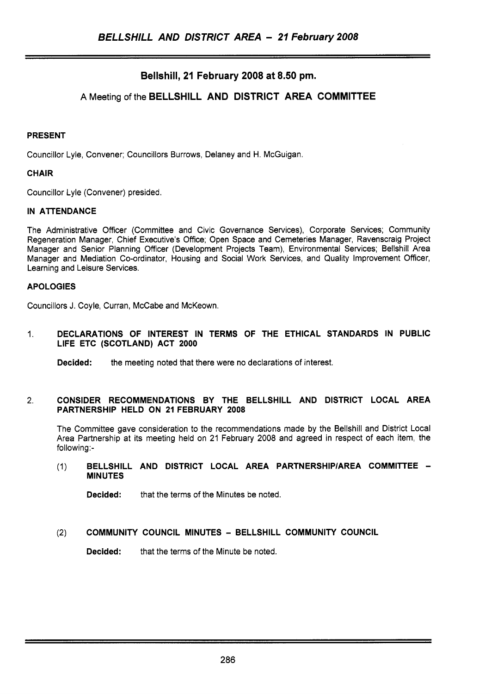# **Bellshill, 21 February 2008 at 8.50 pm.**

# **A** Meeting of the **BELLSHILL AND DISTRICT AREA COMMITTEE**

## **PRESENT**

Councillor Lyle, Convener; Councillors Burrows, Delaney and H. McGuigan.

## **CHAIR**

Councillor Lyle (Convener) presided.

## **IN ATTENDANCE**

The Administrative Officer (Committee and Civic Governance Services), Corporate Services; Community Regeneration Manager, Chief Executive's Office; Open Space and Cemeteries Manager, Ravenscraig Project Manager and Senior Planning Officer (Development Projects Team), Environmental Services; Bellshill Area Manager and Mediation Co-ordinator, Housing and Social Work Services, and Quality Improvement Officer, Learning and Leisure Services.

## **APOLOGIES**

Councillors J. Coyle, Curran, McCabe and McKeown.

1. **DECLARATIONS OF INTEREST IN TERMS OF THE ETHICAL STANDARDS IN PUBLIC LIFE ETC (SCOTLAND) ACT 2000** 

**Decided:** the meeting noted that there were no declarations of interest.

## 2. **CONSIDER RECOMMENDATIONS BY THE BELLSHILL AND DISTRICT LOCAL AREA PARTNERSHIP HELD ON 21 FEBRUARY 2008**

The Committee gave consideration to the recommendations made by the Bellshill and District Local Area Partnership at its meeting held on 21 February 2008 and agreed in respect of each item, the following:-

## (1) **BELLSHILL AND DISTRICT LOCAL AREA PARTNERSHlPlAREA COMMITTEE** - **MINUTES**

**Decided:** that the terms of the Minutes be noted.

## **(2) COMMUNITY COUNCIL MINUTES** - **BELLSHILL COMMUNITY COUNCIL**

**Decided:** that the terms of the Minute be noted.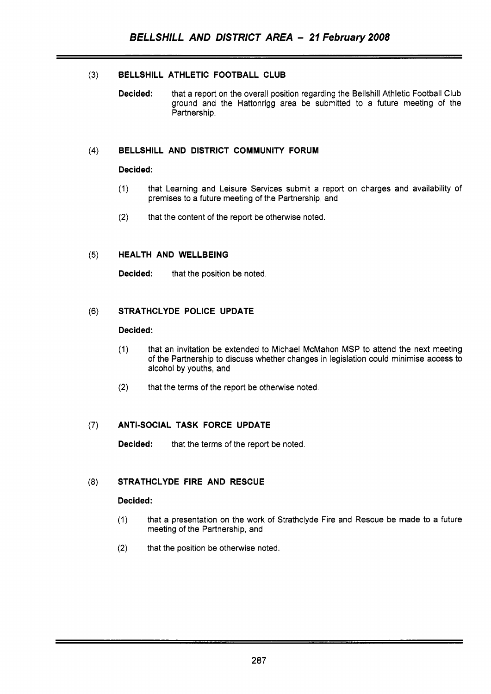## **(3) BELLSHILL ATHLETIC FOOTBALL CLUB**

**Decided:** that a report on the overall position regarding the Bellshill Athletic Football Club ground and the Hattonrigg area be submitted to a future meeting of the Partnership.

## **(4) BELLSHILL AND DISTRICT COMMUNITY FORUM**

## **Decided:**

- (1) that Learning and Leisure Services submit a report on charges and availability of premises to a future meeting of the Partnership, and
- that the content of the report be otherwise noted. **(2)**

## (5) **HEALTH AND WELLBEING**

**Decided:** that the position be noted.

## **(6) STRATHCLYDE POLICE UPDATE**

#### **Decided:**

- (1) that an invitation be extended to Michael McMahon MSP to attend the next meeting of the Partnership to discuss whether changes in legislation could minimise access to alcohol by youths, and
- **(2)** that the terms of the report be otherwise noted.

## **(7) ANTI-SOCIAL TASK FORCE UPDATE**

**Decided:** that the terms of the report be noted.

## **(8) STRATHCLYDE FIRE AND RESCUE**

## **Decided:**

- (1) that a presentation on the work of Strathclyde Fire and Rescue be made to a future meeting of the Partnership, and
- **(2)** that the position be otherwise noted